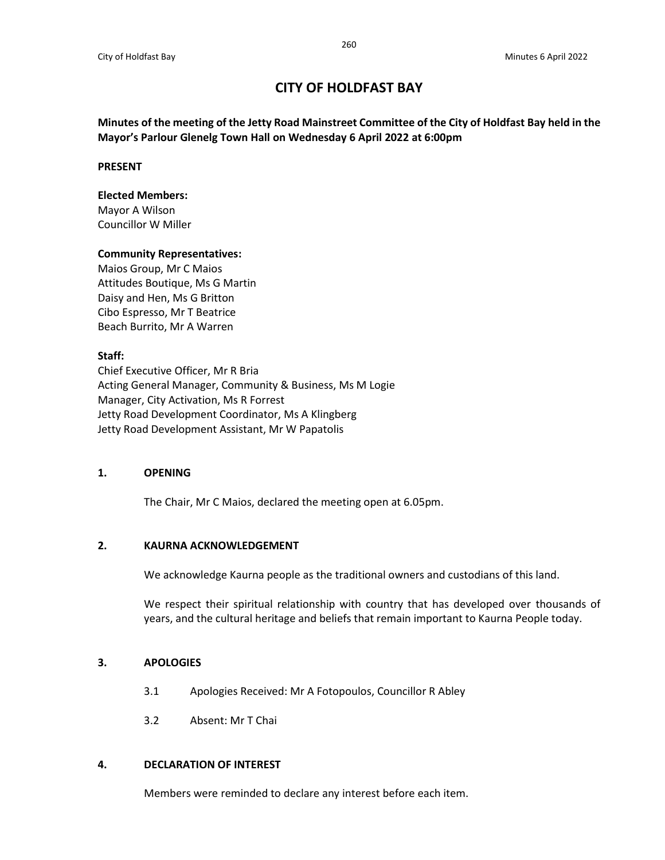# **CITY OF HOLDFAST BAY**

**Minutes of the meeting of the Jetty Road Mainstreet Committee of the City of Holdfast Bay held in the Mayor's Parlour Glenelg Town Hall on Wednesday 6 April 2022 at 6:00pm**

#### **PRESENT**

#### **Elected Members:**

Mayor A Wilson Councillor W Miller

#### **Community Representatives:**

Maios Group, Mr C Maios Attitudes Boutique, Ms G Martin Daisy and Hen, Ms G Britton Cibo Espresso, Mr T Beatrice Beach Burrito, Mr A Warren

### **Staff:**

Chief Executive Officer, Mr R Bria Acting General Manager, Community & Business, Ms M Logie Manager, City Activation, Ms R Forrest Jetty Road Development Coordinator, Ms A Klingberg Jetty Road Development Assistant, Mr W Papatolis

### **1. OPENING**

The Chair, Mr C Maios, declared the meeting open at 6.05pm.

# **2. KAURNA ACKNOWLEDGEMENT**

We acknowledge Kaurna people as the traditional owners and custodians of this land.

We respect their spiritual relationship with country that has developed over thousands of years, and the cultural heritage and beliefs that remain important to Kaurna People today.

### **3. APOLOGIES**

- 3.1 Apologies Received: Mr A Fotopoulos, Councillor R Abley
- 3.2 Absent: Mr T Chai

### **4. DECLARATION OF INTEREST**

Members were reminded to declare any interest before each item.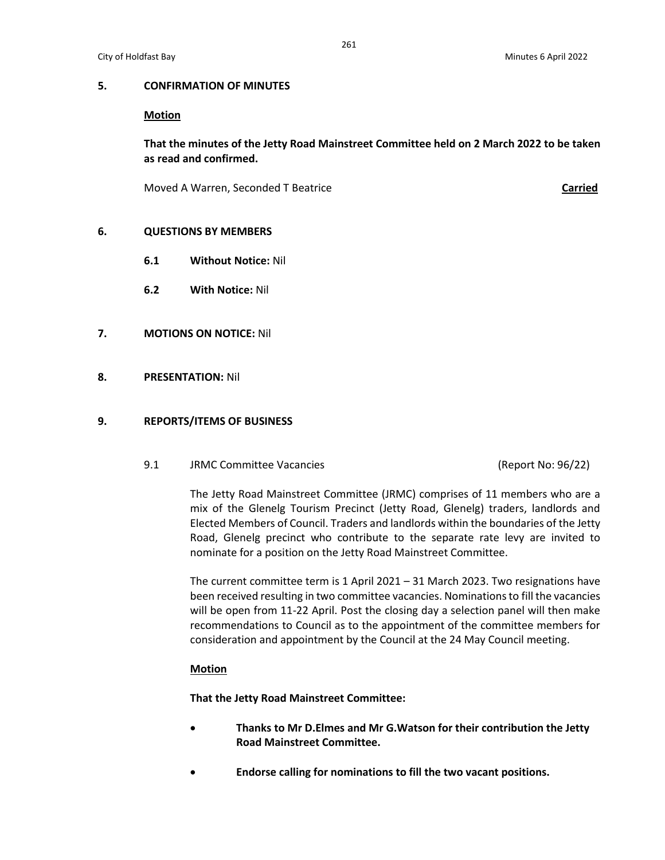# **Motion**

**That the minutes of the Jetty Road Mainstreet Committee held on 2 March 2022 to be taken as read and confirmed.**

Moved A Warren, Seconded T Beatrice **Carried**

# **6. QUESTIONS BY MEMBERS**

- **6.1 Without Notice:** Nil
- **6.2 With Notice:** Nil
- **7. MOTIONS ON NOTICE:** Nil
- **8. PRESENTATION:** Nil

# **9. REPORTS/ITEMS OF BUSINESS**

9.1 JRMC Committee Vacancies (Report No: 96/22)

The Jetty Road Mainstreet Committee (JRMC) comprises of 11 members who are a mix of the Glenelg Tourism Precinct (Jetty Road, Glenelg) traders, landlords and Elected Members of Council. Traders and landlords within the boundaries of the Jetty Road, Glenelg precinct who contribute to the separate rate levy are invited to nominate for a position on the Jetty Road Mainstreet Committee.

The current committee term is 1 April 2021 – 31 March 2023. Two resignations have been received resulting in two committee vacancies. Nominations to fill the vacancies will be open from 11-22 April. Post the closing day a selection panel will then make recommendations to Council as to the appointment of the committee members for consideration and appointment by the Council at the 24 May Council meeting.

# **Motion**

**That the Jetty Road Mainstreet Committee:**

- **Thanks to Mr D.Elmes and Mr G.Watson for their contribution the Jetty Road Mainstreet Committee.**
- **Endorse calling for nominations to fill the two vacant positions.**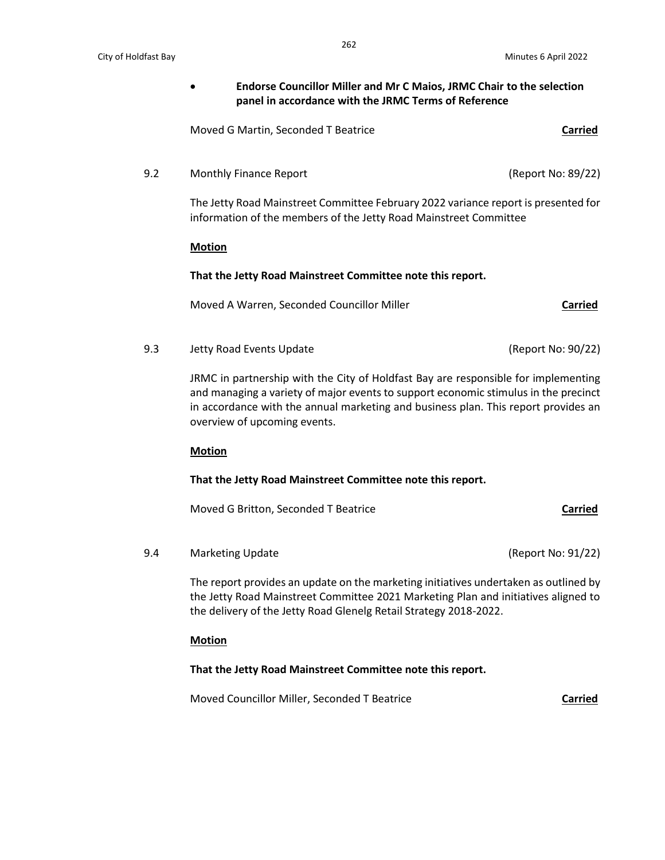**Endorse Councillor Miller and Mr C Maios, JRMC Chair to the selection panel in accordance with the JRMC Terms of Reference**

Moved G Martin, Seconded T Beatrice **Carried**

9.2 Monthly Finance Report (Report No: 89/22)

The Jetty Road Mainstreet Committee February 2022 variance report is presented for information of the members of the Jetty Road Mainstreet Committee

#### **Motion**

### **That the Jetty Road Mainstreet Committee note this report.**

Moved A Warren, Seconded Councillor Miller **Carried**

9.3 Jetty Road Events Update (Report No: 90/22)

JRMC in partnership with the City of Holdfast Bay are responsible for implementing and managing a variety of major events to support economic stimulus in the precinct in accordance with the annual marketing and business plan. This report provides an overview of upcoming events.

### **Motion**

### **That the Jetty Road Mainstreet Committee note this report.**

Moved G Britton, Seconded T Beatrice **Carried**

9.4 Marketing Update (Report No: 91/22)

The report provides an update on the marketing initiatives undertaken as outlined by the Jetty Road Mainstreet Committee 2021 Marketing Plan and initiatives aligned to the delivery of the Jetty Road Glenelg Retail Strategy 2018-2022.

### **Motion**

### **That the Jetty Road Mainstreet Committee note this report.**

Moved Councillor Miller, Seconded T Beatrice **Carried**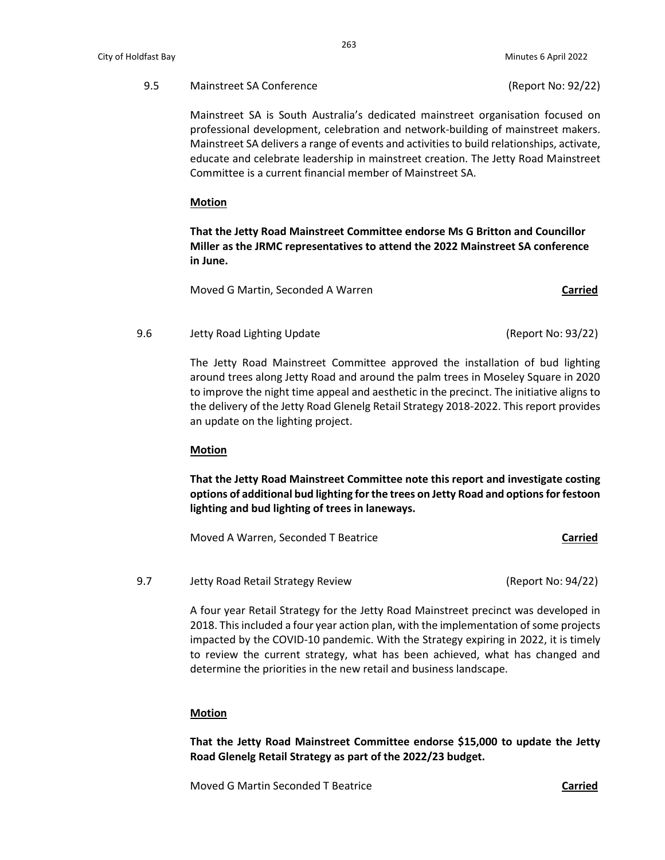Mainstreet SA is South Australia's dedicated mainstreet organisation focused on professional development, celebration and network-building of mainstreet makers. Mainstreet SA delivers a range of events and activities to build relationships, activate, educate and celebrate leadership in mainstreet creation. The Jetty Road Mainstreet Committee is a current financial member of Mainstreet SA.

#### **Motion**

**That the Jetty Road Mainstreet Committee endorse Ms G Britton and Councillor Miller as the JRMC representatives to attend the 2022 Mainstreet SA conference in June.**

Moved G Martin, Seconded A Warren **Carried**

9.6 Jetty Road Lighting Update (Report No: 93/22)

The Jetty Road Mainstreet Committee approved the installation of bud lighting around trees along Jetty Road and around the palm trees in Moseley Square in 2020 to improve the night time appeal and aesthetic in the precinct. The initiative aligns to the delivery of the Jetty Road Glenelg Retail Strategy 2018-2022. This report provides an update on the lighting project.

### **Motion**

**That the Jetty Road Mainstreet Committee note this report and investigate costing options of additional bud lighting for the trees on Jetty Road and options for festoon lighting and bud lighting of trees in laneways.**

Moved A Warren, Seconded T Beatrice **Carried**

9.7 Jetty Road Retail Strategy Review (Report No: 94/22)

A four year Retail Strategy for the Jetty Road Mainstreet precinct was developed in 2018. This included a four year action plan, with the implementation of some projects impacted by the COVID-10 pandemic. With the Strategy expiring in 2022, it is timely to review the current strategy, what has been achieved, what has changed and determine the priorities in the new retail and business landscape.

#### **Motion**

**That the Jetty Road Mainstreet Committee endorse \$15,000 to update the Jetty Road Glenelg Retail Strategy as part of the 2022/23 budget.**

Moved G Martin Seconded T Beatrice **Carried**